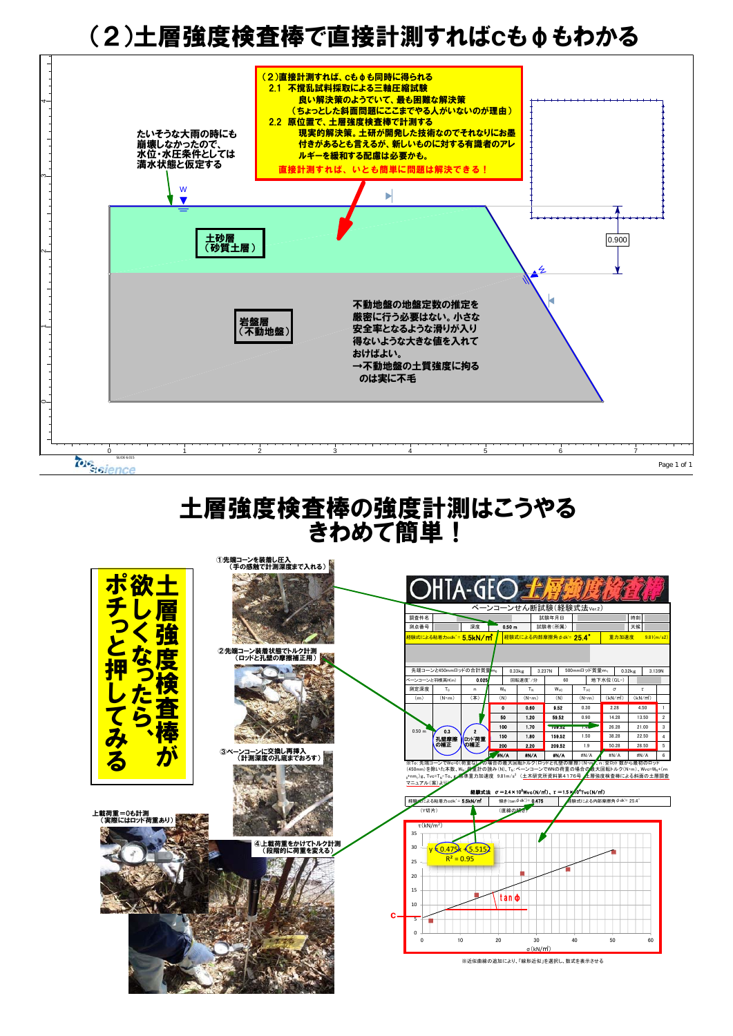# (2)土層強度検査棒で直接計測すればcもφもわかる



### 土層強度検査棒の強度計測はこうやる きわめて簡単!

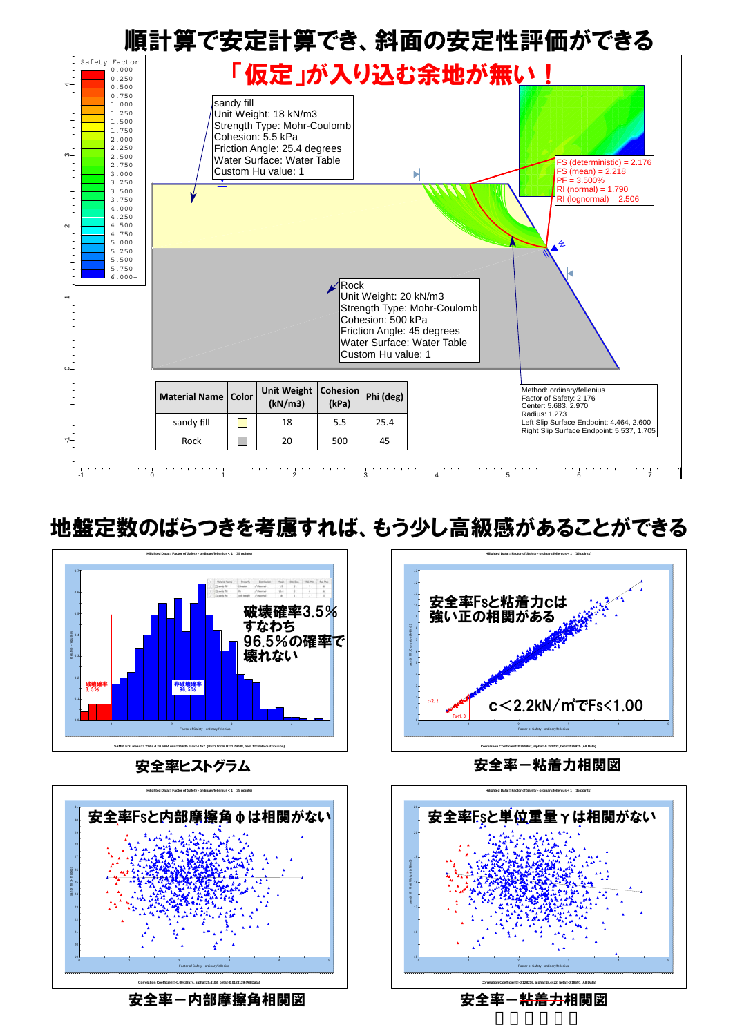

## 地盤定数のばらつきを考慮すれば、もう少し高級感があることができる





安全率-内部摩擦角相関図 しゅうしゃ 安全率-<del>粘着力</del>相関図 しゅうしょう



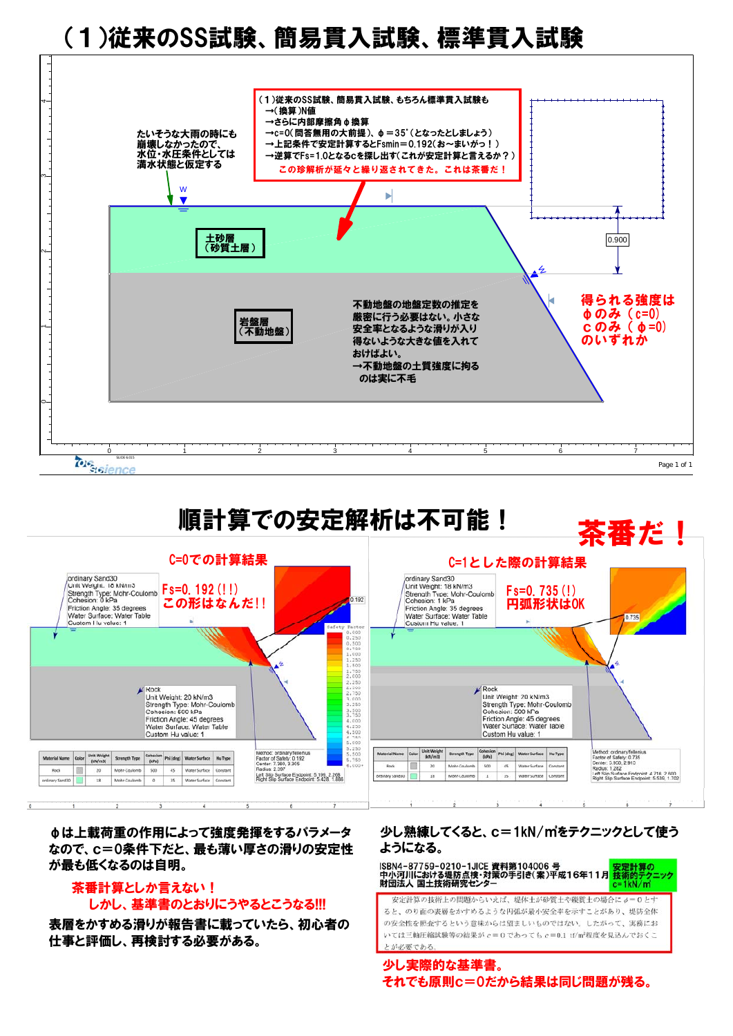# (1)従来のSS試験、簡易貫入試験、標準貫入試験







φは上載荷重の作用によって強度発揮をするパラメータ なので、c=0条件下だと、最も薄い厚さの滑りの安定性 が最も低くなるのは自明。

#### 茶番計算としか言えない! しかし、基準書のとおりにうやるとこうなる!!!

表層をかすめる滑りが報告書に載っていたら、初心者の 仕事と評価し、再検討する必要がある。

#### 少し熟練してくると、c=1kN/㎡をテクニックとして使う ようになる。

ISBN4-87759-0210-1JICE 資料第104006 号<br>中小河川における堤防点検・対策の手引き(案)平成16年11月 <mark>技術的テクニッ</mark> 財団法人 国土技術研究センタ  $= 1kN/m$ 安定計算の技術上の問題からいえば、提体土が砂質土や磁質土の場合にオ=0とす ると、のり面の表層をかすめるような円弧が最小安全率を示すことがあり、堤防全体 の安全性を照査するという意味からは望ましいものではない。したがって、実務にお いては三軸圧縮試験等の結果が  $c = 0$ であっても  $c = 0.1$  tf/m<sup>2</sup>程度を見込んでおくこ

とが必要である。

少し実際的な基準書。 それでも原則c=0だから結果は同じ問題が残る。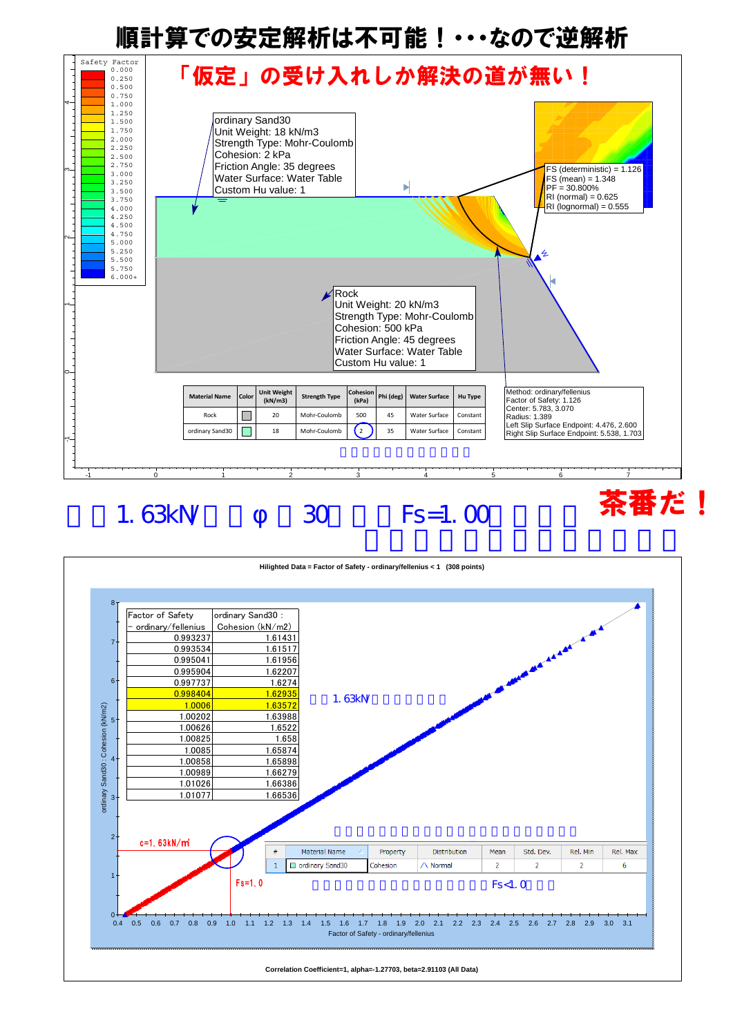## 順計算での安定解析は不可能!・・・なので逆解析